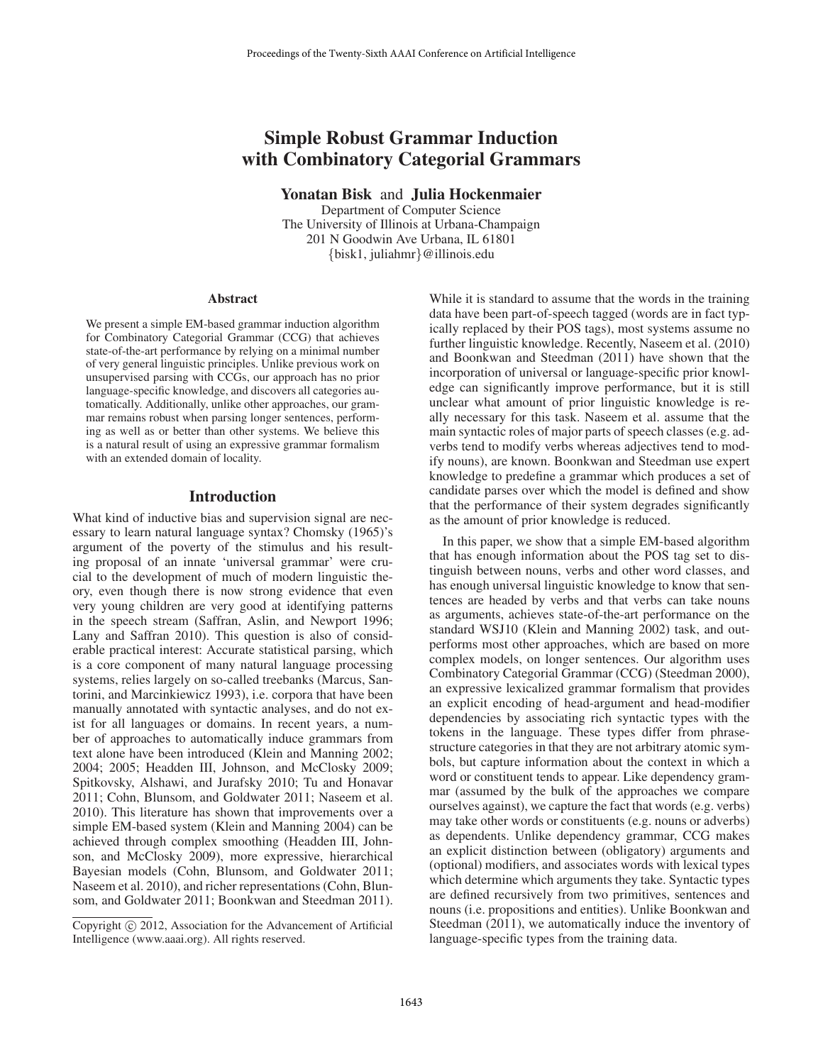# Simple Robust Grammar Induction with Combinatory Categorial Grammars

Yonatan Bisk and Julia Hockenmaier

Department of Computer Science The University of Illinois at Urbana-Champaign 201 N Goodwin Ave Urbana, IL 61801 {bisk1, juliahmr}@illinois.edu

#### **Abstract**

We present a simple EM-based grammar induction algorithm for Combinatory Categorial Grammar (CCG) that achieves state-of-the-art performance by relying on a minimal number of very general linguistic principles. Unlike previous work on unsupervised parsing with CCGs, our approach has no prior language-specific knowledge, and discovers all categories automatically. Additionally, unlike other approaches, our grammar remains robust when parsing longer sentences, performing as well as or better than other systems. We believe this is a natural result of using an expressive grammar formalism with an extended domain of locality.

#### Introduction

What kind of inductive bias and supervision signal are necessary to learn natural language syntax? Chomsky (1965)'s argument of the poverty of the stimulus and his resulting proposal of an innate 'universal grammar' were crucial to the development of much of modern linguistic theory, even though there is now strong evidence that even very young children are very good at identifying patterns in the speech stream (Saffran, Aslin, and Newport 1996; Lany and Saffran 2010). This question is also of considerable practical interest: Accurate statistical parsing, which is a core component of many natural language processing systems, relies largely on so-called treebanks (Marcus, Santorini, and Marcinkiewicz 1993), i.e. corpora that have been manually annotated with syntactic analyses, and do not exist for all languages or domains. In recent years, a number of approaches to automatically induce grammars from text alone have been introduced (Klein and Manning 2002; 2004; 2005; Headden III, Johnson, and McClosky 2009; Spitkovsky, Alshawi, and Jurafsky 2010; Tu and Honavar 2011; Cohn, Blunsom, and Goldwater 2011; Naseem et al. 2010). This literature has shown that improvements over a simple EM-based system (Klein and Manning 2004) can be achieved through complex smoothing (Headden III, Johnson, and McClosky 2009), more expressive, hierarchical Bayesian models (Cohn, Blunsom, and Goldwater 2011; Naseem et al. 2010), and richer representations (Cohn, Blunsom, and Goldwater 2011; Boonkwan and Steedman 2011).

While it is standard to assume that the words in the training data have been part-of-speech tagged (words are in fact typically replaced by their POS tags), most systems assume no further linguistic knowledge. Recently, Naseem et al. (2010) and Boonkwan and Steedman (2011) have shown that the incorporation of universal or language-specific prior knowledge can significantly improve performance, but it is still unclear what amount of prior linguistic knowledge is really necessary for this task. Naseem et al. assume that the main syntactic roles of major parts of speech classes (e.g. adverbs tend to modify verbs whereas adjectives tend to modify nouns), are known. Boonkwan and Steedman use expert knowledge to predefine a grammar which produces a set of candidate parses over which the model is defined and show that the performance of their system degrades significantly as the amount of prior knowledge is reduced.

In this paper, we show that a simple EM-based algorithm that has enough information about the POS tag set to distinguish between nouns, verbs and other word classes, and has enough universal linguistic knowledge to know that sentences are headed by verbs and that verbs can take nouns as arguments, achieves state-of-the-art performance on the standard WSJ10 (Klein and Manning 2002) task, and outperforms most other approaches, which are based on more complex models, on longer sentences. Our algorithm uses Combinatory Categorial Grammar (CCG) (Steedman 2000), an expressive lexicalized grammar formalism that provides an explicit encoding of head-argument and head-modifier dependencies by associating rich syntactic types with the tokens in the language. These types differ from phrasestructure categories in that they are not arbitrary atomic symbols, but capture information about the context in which a word or constituent tends to appear. Like dependency grammar (assumed by the bulk of the approaches we compare ourselves against), we capture the fact that words (e.g. verbs) may take other words or constituents (e.g. nouns or adverbs) as dependents. Unlike dependency grammar, CCG makes an explicit distinction between (obligatory) arguments and (optional) modifiers, and associates words with lexical types which determine which arguments they take. Syntactic types are defined recursively from two primitives, sentences and nouns (i.e. propositions and entities). Unlike Boonkwan and Steedman (2011), we automatically induce the inventory of language-specific types from the training data.

Copyright (c) 2012, Association for the Advancement of Artificial Intelligence (www.aaai.org). All rights reserved.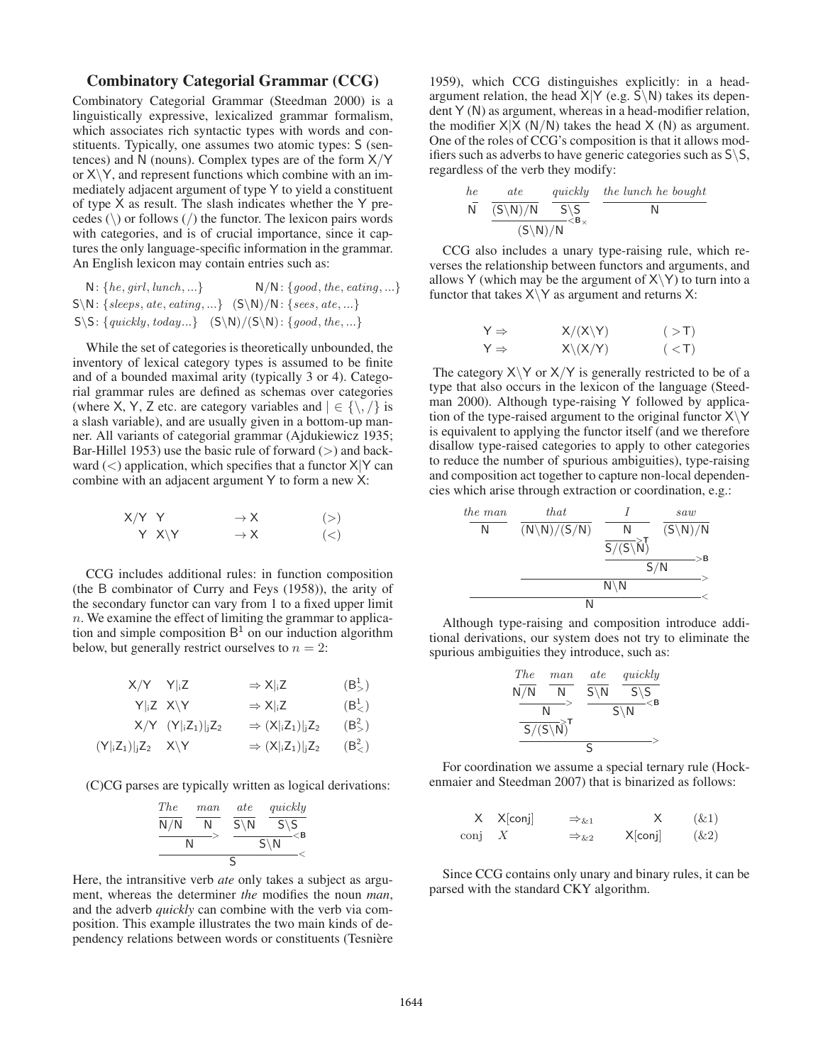## Combinatory Categorial Grammar (CCG)

Combinatory Categorial Grammar (Steedman 2000) is a linguistically expressive, lexicalized grammar formalism, which associates rich syntactic types with words and constituents. Typically, one assumes two atomic types: S (sentences) and N (nouns). Complex types are of the form  $X/Y$ or  $X \ Y$ , and represent functions which combine with an immediately adjacent argument of type Y to yield a constituent of type X as result. The slash indicates whether the Y precedes  $(\rangle)$  or follows  $(\rangle)$  the functor. The lexicon pairs words with categories, and is of crucial importance, since it captures the only language-specific information in the grammar. An English lexicon may contain entries such as:

 $N: \{he, girl, lunch, ...\}$   $N/N: \{good, the, eating, ...\}$  $S\N: \{seeps, ate, eating, ...\}$   $(S\N)/N: \{sees, ate, ...\}$  $S\$ :  ${quickly, today...} (S\\ N)/(S\ N): {good, the ...}$ 

While the set of categories is theoretically unbounded, the inventory of lexical category types is assumed to be finite and of a bounded maximal arity (typically 3 or 4). Categorial grammar rules are defined as schemas over categories (where X, Y, Z etc. are category variables and  $| \in \{ \setminus, \setminus \}$  is a slash variable), and are usually given in a bottom-up manner. All variants of categorial grammar (Ajdukiewicz 1935; Bar-Hillel 1953) use the basic rule of forward  $(>)$  and backward  $(<)$  application, which specifies that a functor  $X|Y$  can combine with an adjacent argument Y to form a new X:

| $X/Y$ Y |             | $\rightarrow$ X | (>)     |
|---------|-------------|-----------------|---------|
|         | $Y$ $X \ Y$ | $\rightarrow$ X | $(\lt)$ |

CCG includes additional rules: in function composition (the B combinator of Curry and Feys (1958)), the arity of the secondary functor can vary from 1 to a fixed upper limit  $n.$  We examine the effect of limiting the grammar to application and simple composition  $B<sup>1</sup>$  on our induction algorithm below, but generally restrict ourselves to  $n = 2$ :

$$
X/Y \t Y |_{i}Z \t \Rightarrow X |_{i}Z \t (B_{>}^{1})
$$

$$
Y|_{i}Z \t X \backslash Y \t \Rightarrow X|_{i}Z \t (B_{<}^{1})
$$

$$
X/Y\ (Y|_iZ_1)|_jZ_2\qquad\Rightarrow (X|_iZ_1)|_jZ_2\qquad (B^2_{>})
$$

$$
(Y|_iZ_1)|_jZ_2 \quad X\backslash Y \qquad \qquad \Rightarrow (X|_iZ_1)|_jZ_2 \qquad (B^2_<)
$$

(C)CG parses are typically written as logical derivations:

$$
\frac{\frac{The}{N/N} \frac{man}{N}}{\frac{N}{N}} \frac{\frac{ate}{S\setminus N} \frac{quickly}{S\setminus S}}{\frac{S\setminus N}{S}} \leq B
$$

Here, the intransitive verb *ate* only takes a subject as argument, whereas the determiner *the* modifies the noun *man*, and the adverb *quickly* can combine with the verb via composition. This example illustrates the two main kinds of dependency relations between words or constituents (Tesnière

1959), which CCG distinguishes explicitly: in a headargument relation, the head  $X|Y$  (e.g.  $S\backslash N$ ) takes its dependent Y (N) as argument, whereas in a head-modifier relation, the modifier  $X|\overline{X}(N/N)$  takes the head  $X(N)$  as argument. One of the roles of CCG's composition is that it allows modifiers such as adverbs to have generic categories such as  $S\$ S, regardless of the verb they modify:

$$
\frac{he}{N} \quad \frac{ate}{(S\setminus N)/N} \quad \frac{quickly}{S\setminus S} \quad \frac{the \ lunch \ he \ bought}{N}
$$
\n
$$
\frac{(S\setminus N)/N}{(S\setminus N)/N}
$$

CCG also includes a unary type-raising rule, which reverses the relationship between functors and arguments, and allows Y (which may be the argument of  $X\Y)$  to turn into a functor that takes  $X \ Y$  as argument and returns X:

$$
Y \Rightarrow X/(X\Y) \qquad (-T)
$$
  

$$
Y \Rightarrow X\Y(X/Y) \qquad (-T)
$$

The category  $X \ Y$  or  $X/Y$  is generally restricted to be of a type that also occurs in the lexicon of the language (Steedman 2000). Although type-raising Y followed by application of the type-raised argument to the original functor  $X\Y$ is equivalent to applying the functor itself (and we therefore disallow type-raised categories to apply to other categories to reduce the number of spurious ambiguities), type-raising and composition act together to capture non-local dependencies which arise through extraction or coordination, e.g.:

| the man       | that                    | I                             | saw                 |
|---------------|-------------------------|-------------------------------|---------------------|
| N             | $(N \setminus N)/(S/N)$ | $\frac{N}{S/(S \setminus N)}$ | $(S \setminus N)/N$ |
| $\frac{S}{N}$ | $S/N$                   | $S/N$                         |                     |
| N             | N                       | $\leftarrow$                  |                     |

Although type-raising and composition introduce additional derivations, our system does not try to eliminate the spurious ambiguities they introduce, such as:

$$
\begin{array}{ccc}\n\text{The} & \text{man} & \text{ate} & \text{quickly} \\
\hline\nN/N & N & \text{S\setminus N} & \text{S\setminus S} \\
\hline\nN & & \text{S\setminus N} & \text{S\setminus N} \\
\hline\n\text{S/(S\setminus N)}^T & & & \\
\hline\n\text{S} & & \text{S} & \text{S}\n\end{array}
$$

For coordination we assume a special ternary rule (Hockenmaier and Steedman 2007) that is binarized as follows:

$$
\begin{array}{ccc}\nX & X[\text{conj}] & \Rightarrow_{\&1} & X & (\&1) \\
\text{conj} & X & \Rightarrow_{\&2} & X[\text{conj}] & (\&2)\n\end{array}
$$

Since CCG contains only unary and binary rules, it can be parsed with the standard CKY algorithm.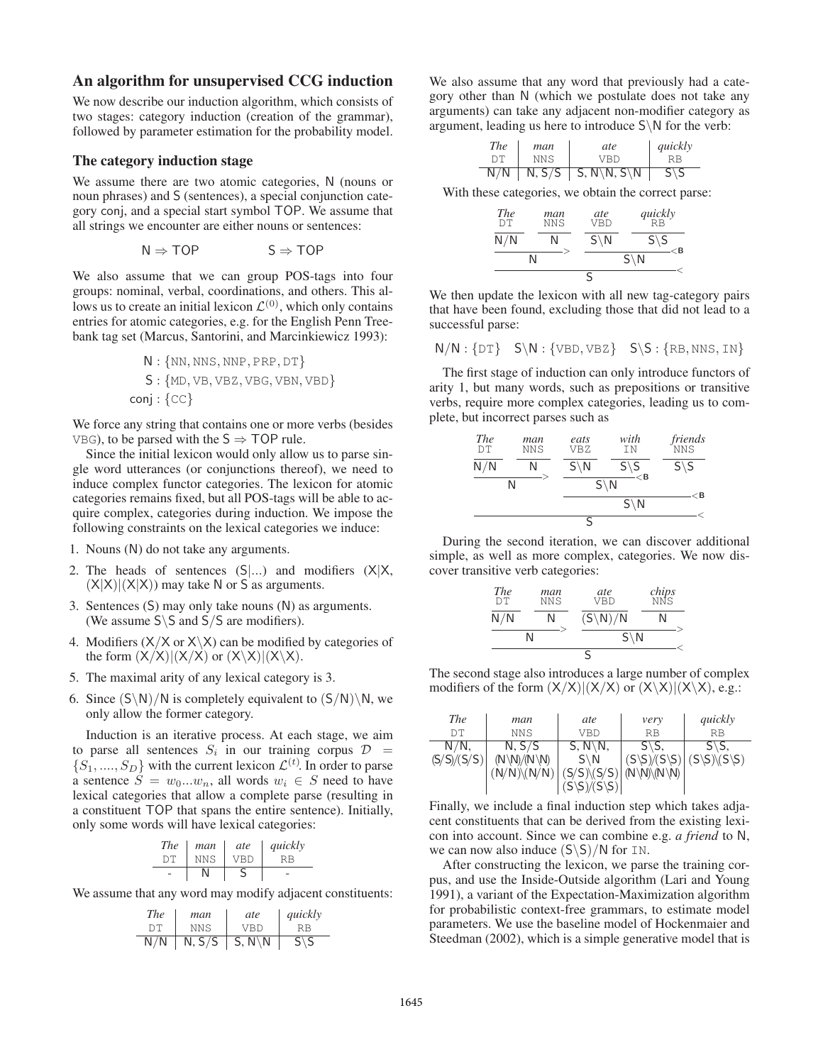### An algorithm for unsupervised CCG induction

We now describe our induction algorithm, which consists of two stages: category induction (creation of the grammar), followed by parameter estimation for the probability model.

#### The category induction stage

We assume there are two atomic categories, N (nouns or noun phrases) and S (sentences), a special conjunction category conj, and a special start symbol TOP. We assume that all strings we encounter are either nouns or sentences:

$$
N \Rightarrow TOP \qquad \qquad S \Rightarrow TOP
$$

We also assume that we can group POS-tags into four groups: nominal, verbal, coordinations, and others. This allows us to create an initial lexicon  $\mathcal{L}^{(0)}$ , which only contains entries for atomic categories, e.g. for the English Penn Treebank tag set (Marcus, Santorini, and Marcinkiewicz 1993):

$$
N: \{NN, NNS, NNP, PRP, DT\}
$$

$$
S: \{MD, VB, VBZ, VBG, VBN, VBD\}
$$

$$
conj: \{CC\}
$$

We force any string that contains one or more verbs (besides VBG), to be parsed with the  $S \Rightarrow TOP$  rule.

Since the initial lexicon would only allow us to parse single word utterances (or conjunctions thereof), we need to induce complex functor categories. The lexicon for atomic categories remains fixed, but all POS-tags will be able to acquire complex, categories during induction. We impose the following constraints on the lexical categories we induce:

- 1. Nouns (N) do not take any arguments.
- 2. The heads of sentences  $(S|...)$  and modifiers  $(X|X, ...)$  $(X|X|)(X|X)$  may take N or S as arguments.
- 3. Sentences (S) may only take nouns (N) as arguments. (We assume  $S \ S$  and  $S/S$  are modifiers).
- 4. Modifiers  $(X/X)$  or  $X\ X)$  can be modified by categories of the form  $(X/X)|(X/X)$  or  $(X\X)(|X\X).$
- 5. The maximal arity of any lexical category is 3.
- 6. Since  $(S\backslash N)/N$  is completely equivalent to  $(S/N)\backslash N$ , we only allow the former category.

Induction is an iterative process. At each stage, we aim to parse all sentences  $S_i$  in our training corpus  $D =$  $\{S_1, ..., S_D\}$  with the current lexicon  $\mathcal{L}^{(t)}$ . In order to parse a sentence  $S = w_0...w_n$ , all words  $w_i \in S$  need to have lexical categories that allow a complete parse (resulting in a constituent TOP that spans the entire sentence). Initially, only some words will have lexical categories:

| <i>The</i> | man             | ate | guickly |
|------------|-----------------|-----|---------|
| DТ         | NN <sub>S</sub> | VBD | RR      |
|            |                 |     |         |

We assume that any word may modify adjacent constituents:

| <i>The</i> | man    | ate                     | quickly        |
|------------|--------|-------------------------|----------------|
| DТ         | NNS    | VRD                     | RR             |
| N/N        | N, S/S | $\mid S, N \setminus N$ | $S\setminus S$ |

We also assume that any word that previously had a category other than N (which we postulate does not take any arguments) can take any adjacent non-modifier category as argument, leading us here to introduce  $S \backslash N$  for the verb:

| The | man  | ate                                           | quickly        |
|-----|------|-----------------------------------------------|----------------|
| D'E | NN S | VRD                                           | RВ             |
| N/N |      | $N, S/S \mid S, N \setminus N, S \setminus N$ | $S\setminus S$ |

With these categories, we obtain the correct parse:

| <b>The</b><br>DТ | man<br>NNS | ate<br><b>VBD</b> | $quickly$ <sub>RB</sub>  |
|------------------|------------|-------------------|--------------------------|
| N/N              | N          | $S\backslash N$   | $S\backslash S$<br>$<$ B |
| N                |            |                   | $S\backslash N$          |
|                  |            |                   |                          |

We then update the lexicon with all new tag-category pairs that have been found, excluding those that did not lead to a successful parse:

$$
N/N: \{DT\} \quad S\backslash N: \{VBD, VBZ\} \quad S\backslash S: \{RB, NNS, IN\}
$$

The first stage of induction can only introduce functors of arity 1, but many words, such as prepositions or transitive verbs, require more complex categories, leading us to complete, but incorrect parses such as

| <b>The</b><br>DT | man<br>NNS | eats<br>VBZ     | with<br>ΤN                         | friends<br><b>NNS</b> |
|------------------|------------|-----------------|------------------------------------|-----------------------|
| N/N              | N          | $S \setminus N$ | $S\backslash S$<br>$\mathcal{C}$ B | $S\backslash S$       |
|                  | Ν          |                 | $S \setminus N$                    | <b< th=""></b<>       |
|                  |            |                 | $S\backslash N$                    |                       |
|                  |            | ς               |                                    |                       |

During the second iteration, we can discover additional simple, as well as more complex, categories. We now discover transitive verb categories:

| <b>The</b><br><b>DT</b> | man<br>NNS | ate<br><b>VBD</b>   | chips<br>NNS |
|-------------------------|------------|---------------------|--------------|
| N/N                     | N          | $(S\backslash N)/N$ | N            |
|                         | N          | $S\backslash N$     |              |
|                         |            | S                   |              |

The second stage also introduces a large number of complex modifiers of the form  $(X/X)|(X/X)$  or  $(X\X)|(X\X)$ , e.g.:

| <b>The</b>  | man                                 | ate                     | very                            | quickly                                  |
|-------------|-------------------------------------|-------------------------|---------------------------------|------------------------------------------|
| DТ          | <b>NNS</b>                          | VBD                     | RB                              | <b>RB</b>                                |
| $N/N$ ,     | N, S/S                              | $S, N \backslash N,$    | $S\$ S.                         | $S\$ S                                   |
| (S/S)/(S/S) | $(N \backslash N)/(N \backslash N)$ | $S\backslash N$         | $(S\setminus S)/(S\setminus S)$ | $(S\setminus S)\setminus (S\setminus S)$ |
|             | $(N/N)\ (N/N)$                      | $(S/S)\S/S)$ (N\N\(N\N) |                                 |                                          |
|             |                                     |                         |                                 |                                          |

Finally, we include a final induction step which takes adjacent constituents that can be derived from the existing lexicon into account. Since we can combine e.g. *a friend* to N, we can now also induce  $(S\ S)/N$  for IN.

After constructing the lexicon, we parse the training corpus, and use the Inside-Outside algorithm (Lari and Young 1991), a variant of the Expectation-Maximization algorithm for probabilistic context-free grammars, to estimate model parameters. We use the baseline model of Hockenmaier and Steedman (2002), which is a simple generative model that is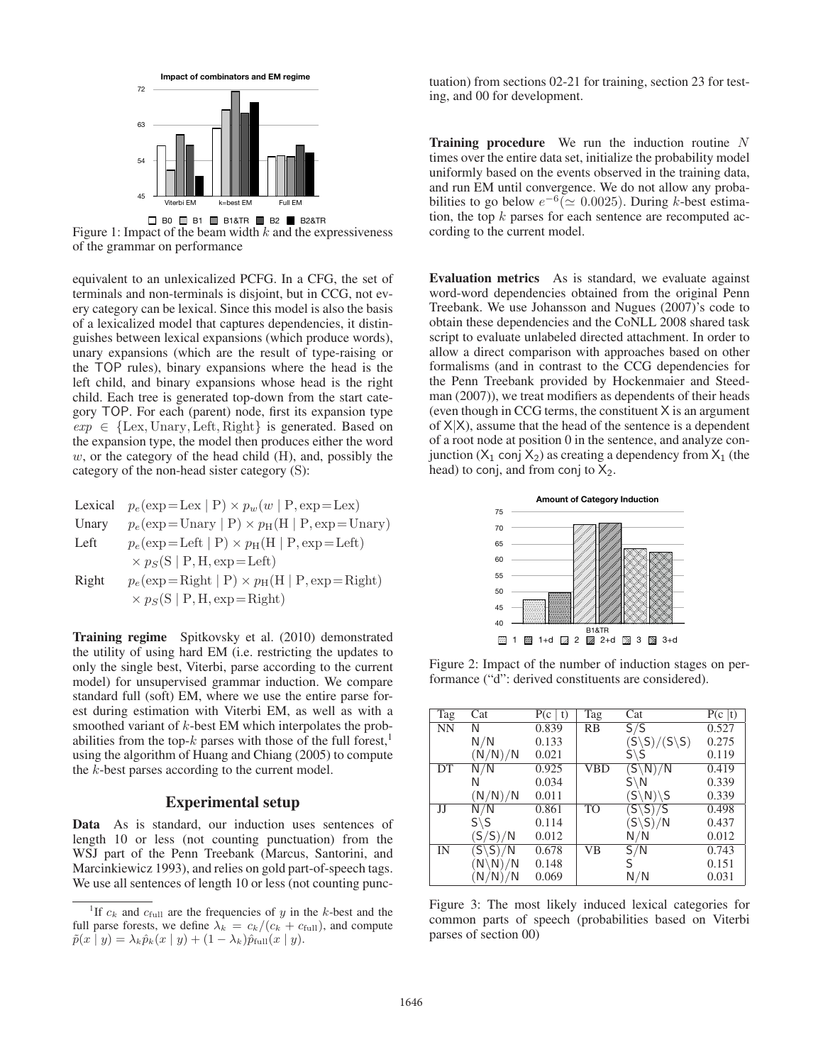

B0 B1 B1&TR B2 B2&TR **8** 70.51 Figure 1: Impact of the beam width  $k$  and the expressiveness of the grammar on performance **24**

equivalent to an unlexicalized PCFG. In a CFG, the set of terminals and non-terminals is disjoint, but in CCG, not ev-**35** 70.39 ery category can be lexical. Since this model is also the basis of a lexicalized model that captures dependencies, it distin-**75** 69.71 guishes between lexical expansions (which produce words), unary expansions (which are the result of type-raising or the TOP rules), binary expansions where the head is the **120** left child, and binary expansions whose head is the right child. Each tree is generated top-down from the start category TOP. For each (parent) node, first its expansion type  $exp \in \{Lex, Unary, Left, Right\}$  is generated. Based on the expansion type, the model then produces either the word  $w$ , or the category of the head child  $(H)$ , and, possibly the category of the non-head sister category (S):

Lexical 
$$
p_e(\exp = \text{Lex} | P) \times p_w(w | P, \exp = \text{Lex})
$$

Unary 
$$
p_e(\exp)
$$
Unary  $| P \rangle \times p_H(H | P, \exp)$ 

Left 
$$
p_e(exp=Left | P) \times p_H(H | P, exp = Left)
$$
  
  $\times p_S(S | P, H, exp = Left)$ 

Right  $p_e(\exp{=}$  Right  $| P \rangle \times p_H(H | P, exp{=}$  Right)  $\times p_S(S | P, H, exp=Right)$ 

Training regime Spitkovsky et al. (2010) demonstrated the utility of using hard EM (i.e. restricting the updates to only the single best, Viterbi, parse according to the current model) for unsupervised grammar induction. We compare standard full (soft) EM, where we use the entire parse forest during estimation with Viterbi EM, as well as with a smoothed variant of k-best EM which interpolates the probabilities from the top-k parses with those of the full forest,<sup>1</sup> using the algorithm of Huang and Chiang (2005) to compute the k-best parses according to the current model.

### Experimental setup

Data As is standard, our induction uses sentences of length 10 or less (not counting punctuation) from the WSJ part of the Penn Treebank (Marcus, Santorini, and Marcinkiewicz 1993), and relies on gold part-of-speech tags. We use all sentences of length 10 or less (not counting punc-

tuation) from sections 02-21 for training, section 23 for testing, and 00 for development.

**Training procedure** We run the induction routine  $N$ times over the entire data set, initialize the probability model uniformly based on the events observed in the training data, and run EM until convergence. We do not allow any probabilities to go below  $e^{-6}$ ( $\simeq 0.0025$ ). During k-best estimation, the top  $k$  parses for each sentence are recomputed according to the current model.

Evaluation metrics As is standard, we evaluate against word-word dependencies obtained from the original Penn Treebank. We use Johansson and Nugues (2007)'s code to obtain these dependencies and the CoNLL 2008 shared task script to evaluate unlabeled directed attachment. In order to allow a direct comparison with approaches based on other formalisms (and in contrast to the CCG dependencies for the Penn Treebank provided by Hockenmaier and Steedman (2007)), we treat modifiers as dependents of their heads (even though in CCG terms, the constituent  $X$  is an argument of  $X|X$ ), assume that the head of the sentence is a dependent of a root node at position 0 in the sentence, and analyze con- $\frac{1}{2}$  junction ( $X_1$  conj  $X_2$ ) as creating a dependency from  $X_1$  (the head) to conj, and from conj to  $X_2$ .



Figure 2: Impact of the number of induction stages on performance ("d": derived constituents are considered).

| Tag                    | Cat                 | P(c   t) | Tag            | Cat                                | P(c   t) |
|------------------------|---------------------|----------|----------------|------------------------------------|----------|
| $\overline{\text{NN}}$ | N                   | 0.839    | RB             | $\overline{\mathsf{S}/\mathsf{S}}$ | 0.527    |
|                        | N/N                 | 0.133    |                | $(S\S)/ (S\S)$                     | 0.275    |
|                        | (N/N)/N             | 0.021    |                | $S\backslash S$                    | 0.119    |
| DT                     | N/N                 | 0.925    | <b>VBD</b>     | $(S\backslash N)/N$                | 0.419    |
|                        | N                   | 0.034    |                | $S\backslash N$                    | 0.339    |
|                        | (N/N)/N             | 0.011    |                | $(S\backslash N)\backslash S$      | 0.339    |
| JJ                     | N/N                 | 0.861    | T <sub>O</sub> | $(S\backslash S)/S$                | 0.498    |
|                        | $S\backslash S$     | 0.114    |                | $(S\backslash S)/N$                | 0.437    |
|                        | (S/S)/N             | 0.012    |                | N/N                                | 0.012    |
| IN                     | $(S\backslash S)/N$ | 0.678    | VB             | S/N                                | 0.743    |
|                        | $(N\backslash N)/N$ | 0.148    |                | S                                  | 0.151    |
|                        | (N/N)/N             | 0.069    |                | $\mathsf{N}/\mathsf{N}$            | 0.031    |

Figure 3: The most likely induced lexical categories for common parts of speech (probabilities based on Viterbi parses of section 00)

<sup>&</sup>lt;sup>1</sup>If  $c_k$  and  $c_{\text{full}}$  are the frequencies of y in the k-best and the full parse forests, we define  $\lambda_k = c_k/(c_k + c_{\text{full}})$ , and compute  $\tilde{p}(x | y) = \lambda_k \hat{p}_k(x | y) + (1 - \lambda_k) \hat{p}_{\text{full}}(x | y).$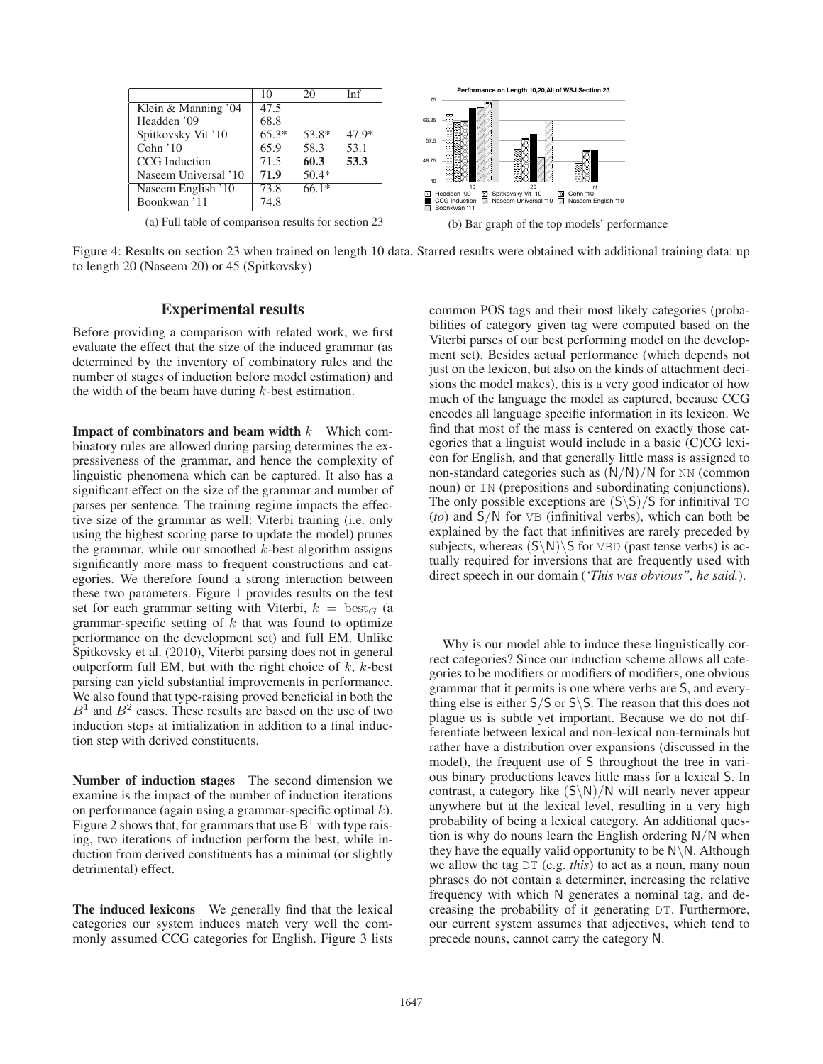|                                                                      | 10      | 20      | Inf     | Performance on Length 10,20,All of WSJ Section 2:<br>75               |
|----------------------------------------------------------------------|---------|---------|---------|-----------------------------------------------------------------------|
| Klein & Manning '04                                                  | 47.5    |         |         |                                                                       |
| Headden '09                                                          | 68.8    |         |         | 66.25                                                                 |
| Spitkovsky Vit '10                                                   | $65.3*$ | 53.8*   | $47.9*$ | 57.5                                                                  |
| Cohn $'10$                                                           | 65.9    | 58.3    | 53.1    |                                                                       |
| CCG Induction                                                        | 71.5    | 60.3    | 53.3    | 48.75                                                                 |
| Naseem Universal '10                                                 | 71.9    | $50.4*$ |         | 40                                                                    |
| Naseem English '10                                                   | 73.8    | $66.1*$ |         | Inf<br>20<br>Sa Spitkovsky Vit '10<br>Headden '09<br>■ Cohn '10<br>FЗ |
| Boonkwan '11                                                         | 74.8    |         |         | CCG Induction A Naseem Universal '10 A Naseem Englis<br>Boonkwan '11  |
| (a) $E_2$ <sup>11</sup> table of comparison results for section $22$ |         |         |         | $(1 \times T)$<br>$\mathbf{1}$ $\mathbf{A}$ $\mathbf{A}$ $\mathbf{A}$ |

(a) Full table of comparison results for section 23

10 Inf<br>Headden '09 ⊠ Spitkovsky Vit '10 ⊠ Cohn '10<br>CCG Induction D Naseem Universal '10 D Naseem English '10 (b) Bar graph of the top models' performance

Figure 4: Results on section 23 when trained on length 10 data. Starred results were obtained with additional training data: up to length 20 (Naseem 20) or 45 (Spitkovsky)

# Experimental results

Before providing a comparison with related work, we first evaluate the effect that the size of the induced grammar (as determined by the inventory of combinatory rules and the number of stages of induction before model estimation) and the width of the beam have during  $k$ -best estimation.

**Impact of combinators and beam width**  $k$  Which combinatory rules are allowed during parsing determines the expressiveness of the grammar, and hence the complexity of linguistic phenomena which can be captured. It also has a significant effect on the size of the grammar and number of parses per sentence. The training regime impacts the effective size of the grammar as well: Viterbi training (i.e. only using the highest scoring parse to update the model) prunes the grammar, while our smoothed  $k$ -best algorithm assigns significantly more mass to frequent constructions and categories. We therefore found a strong interaction between these two parameters. Figure 1 provides results on the test set for each grammar setting with Viterbi,  $k = \text{best}_G$  (a grammar-specific setting of  $k$  that was found to optimize performance on the development set) and full EM. Unlike Spitkovsky et al. (2010), Viterbi parsing does not in general outperform full EM, but with the right choice of  $k$ ,  $k$ -best parsing can yield substantial improvements in performance. We also found that type-raising proved beneficial in both the  $B<sup>1</sup>$  and  $B<sup>2</sup>$  cases. These results are based on the use of two induction steps at initialization in addition to a final induction step with derived constituents.

Number of induction stages The second dimension we examine is the impact of the number of induction iterations on performance (again using a grammar-specific optimal  $k$ ). Figure 2 shows that, for grammars that use  $B<sup>1</sup>$  with type raising, two iterations of induction perform the best, while induction from derived constituents has a minimal (or slightly detrimental) effect.

The induced lexicons We generally find that the lexical categories our system induces match very well the commonly assumed CCG categories for English. Figure 3 lists

common POS tags and their most likely categories (probabilities of category given tag were computed based on the Viterbi parses of our best performing model on the development set). Besides actual performance (which depends not just on the lexicon, but also on the kinds of attachment decisions the model makes), this is a very good indicator of how much of the language the model as captured, because CCG encodes all language specific information in its lexicon. We find that most of the mass is centered on exactly those categories that a linguist would include in a basic (C)CG lexicon for English, and that generally little mass is assigned to non-standard categories such as (N/N)/N for NN (common noun) or IN (prepositions and subordinating conjunctions). The only possible exceptions are  $(S\ S)/S$  for infinitival TO (*to*) and S/N for VB (infinitival verbs), which can both be explained by the fact that infinitives are rarely preceded by subjects, whereas  $(S\backslash N)\S$  for VBD (past tense verbs) is actually required for inversions that are frequently used with direct speech in our domain (*'This was obvious", he said.*).

Why is our model able to induce these linguistically correct categories? Since our induction scheme allows all categories to be modifiers or modifiers of modifiers, one obvious grammar that it permits is one where verbs are S, and everything else is either  $S/S$  or  $S\$ S. The reason that this does not plague us is subtle yet important. Because we do not differentiate between lexical and non-lexical non-terminals but rather have a distribution over expansions (discussed in the model), the frequent use of S throughout the tree in various binary productions leaves little mass for a lexical S. In contrast, a category like  $(S \ N)/N$  will nearly never appear anywhere but at the lexical level, resulting in a very high probability of being a lexical category. An additional question is why do nouns learn the English ordering  $N/N$  when they have the equally valid opportunity to be  $N\backslash N$ . Although we allow the tag DT (e.g. *this*) to act as a noun, many noun phrases do not contain a determiner, increasing the relative frequency with which N generates a nominal tag, and decreasing the probability of it generating DT. Furthermore, our current system assumes that adjectives, which tend to precede nouns, cannot carry the category N.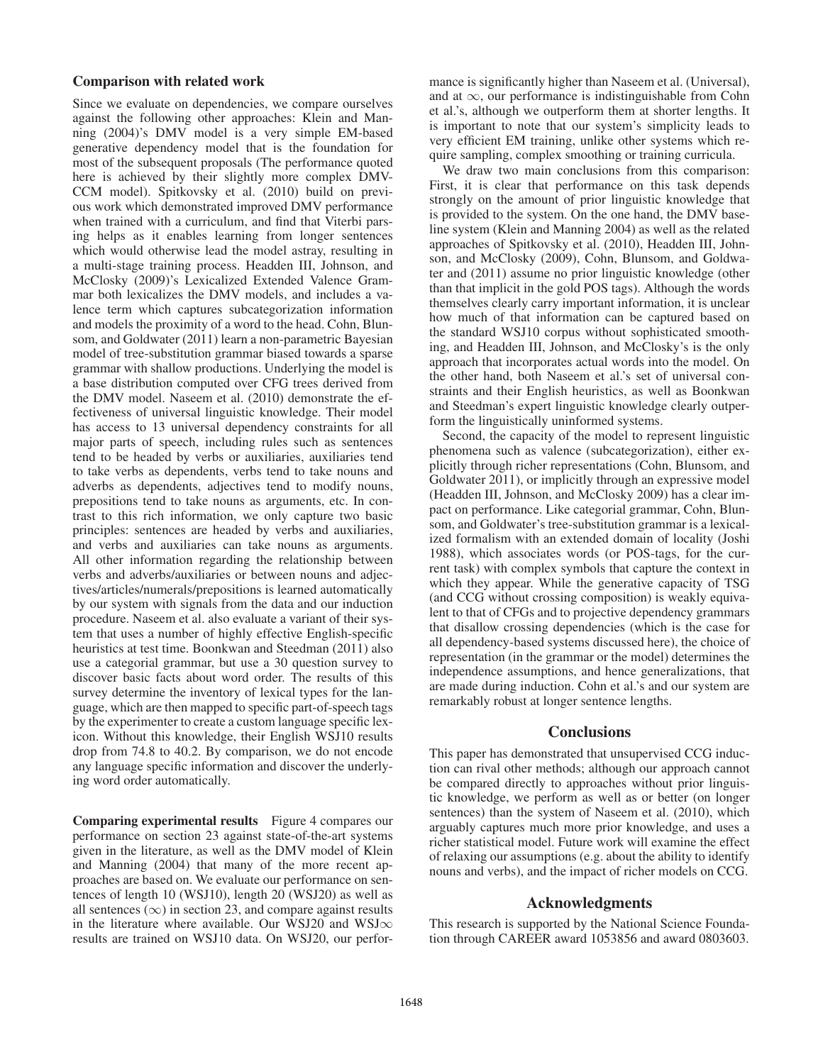#### Comparison with related work

Since we evaluate on dependencies, we compare ourselves against the following other approaches: Klein and Manning (2004)'s DMV model is a very simple EM-based generative dependency model that is the foundation for most of the subsequent proposals (The performance quoted here is achieved by their slightly more complex DMV-CCM model). Spitkovsky et al. (2010) build on previous work which demonstrated improved DMV performance when trained with a curriculum, and find that Viterbi parsing helps as it enables learning from longer sentences which would otherwise lead the model astray, resulting in a multi-stage training process. Headden III, Johnson, and McClosky (2009)'s Lexicalized Extended Valence Grammar both lexicalizes the DMV models, and includes a valence term which captures subcategorization information and models the proximity of a word to the head. Cohn, Blunsom, and Goldwater (2011) learn a non-parametric Bayesian model of tree-substitution grammar biased towards a sparse grammar with shallow productions. Underlying the model is a base distribution computed over CFG trees derived from the DMV model. Naseem et al. (2010) demonstrate the effectiveness of universal linguistic knowledge. Their model has access to 13 universal dependency constraints for all major parts of speech, including rules such as sentences tend to be headed by verbs or auxiliaries, auxiliaries tend to take verbs as dependents, verbs tend to take nouns and adverbs as dependents, adjectives tend to modify nouns, prepositions tend to take nouns as arguments, etc. In contrast to this rich information, we only capture two basic principles: sentences are headed by verbs and auxiliaries, and verbs and auxiliaries can take nouns as arguments. All other information regarding the relationship between verbs and adverbs/auxiliaries or between nouns and adjectives/articles/numerals/prepositions is learned automatically by our system with signals from the data and our induction procedure. Naseem et al. also evaluate a variant of their system that uses a number of highly effective English-specific heuristics at test time. Boonkwan and Steedman (2011) also use a categorial grammar, but use a 30 question survey to discover basic facts about word order. The results of this survey determine the inventory of lexical types for the language, which are then mapped to specific part-of-speech tags by the experimenter to create a custom language specific lexicon. Without this knowledge, their English WSJ10 results drop from 74.8 to 40.2. By comparison, we do not encode any language specific information and discover the underlying word order automatically.

Comparing experimental results Figure 4 compares our performance on section 23 against state-of-the-art systems given in the literature, as well as the DMV model of Klein and Manning (2004) that many of the more recent approaches are based on. We evaluate our performance on sentences of length 10 (WSJ10), length 20 (WSJ20) as well as all sentences  $(\infty)$  in section 23, and compare against results in the literature where available. Our WSJ20 and WSJ∞ results are trained on WSJ10 data. On WSJ20, our perfor-

mance is significantly higher than Naseem et al. (Universal), and at  $\infty$ , our performance is indistinguishable from Cohn et al.'s, although we outperform them at shorter lengths. It is important to note that our system's simplicity leads to very efficient EM training, unlike other systems which require sampling, complex smoothing or training curricula.

We draw two main conclusions from this comparison: First, it is clear that performance on this task depends strongly on the amount of prior linguistic knowledge that is provided to the system. On the one hand, the DMV baseline system (Klein and Manning 2004) as well as the related approaches of Spitkovsky et al. (2010), Headden III, Johnson, and McClosky (2009), Cohn, Blunsom, and Goldwater and (2011) assume no prior linguistic knowledge (other than that implicit in the gold POS tags). Although the words themselves clearly carry important information, it is unclear how much of that information can be captured based on the standard WSJ10 corpus without sophisticated smoothing, and Headden III, Johnson, and McClosky's is the only approach that incorporates actual words into the model. On the other hand, both Naseem et al.'s set of universal constraints and their English heuristics, as well as Boonkwan and Steedman's expert linguistic knowledge clearly outperform the linguistically uninformed systems.

Second, the capacity of the model to represent linguistic phenomena such as valence (subcategorization), either explicitly through richer representations (Cohn, Blunsom, and Goldwater 2011), or implicitly through an expressive model (Headden III, Johnson, and McClosky 2009) has a clear impact on performance. Like categorial grammar, Cohn, Blunsom, and Goldwater's tree-substitution grammar is a lexicalized formalism with an extended domain of locality (Joshi 1988), which associates words (or POS-tags, for the current task) with complex symbols that capture the context in which they appear. While the generative capacity of TSG (and CCG without crossing composition) is weakly equivalent to that of CFGs and to projective dependency grammars that disallow crossing dependencies (which is the case for all dependency-based systems discussed here), the choice of representation (in the grammar or the model) determines the independence assumptions, and hence generalizations, that are made during induction. Cohn et al.'s and our system are remarkably robust at longer sentence lengths.

#### **Conclusions**

This paper has demonstrated that unsupervised CCG induction can rival other methods; although our approach cannot be compared directly to approaches without prior linguistic knowledge, we perform as well as or better (on longer sentences) than the system of Naseem et al. (2010), which arguably captures much more prior knowledge, and uses a richer statistical model. Future work will examine the effect of relaxing our assumptions (e.g. about the ability to identify nouns and verbs), and the impact of richer models on CCG.

### Acknowledgments

This research is supported by the National Science Foundation through CAREER award 1053856 and award 0803603.